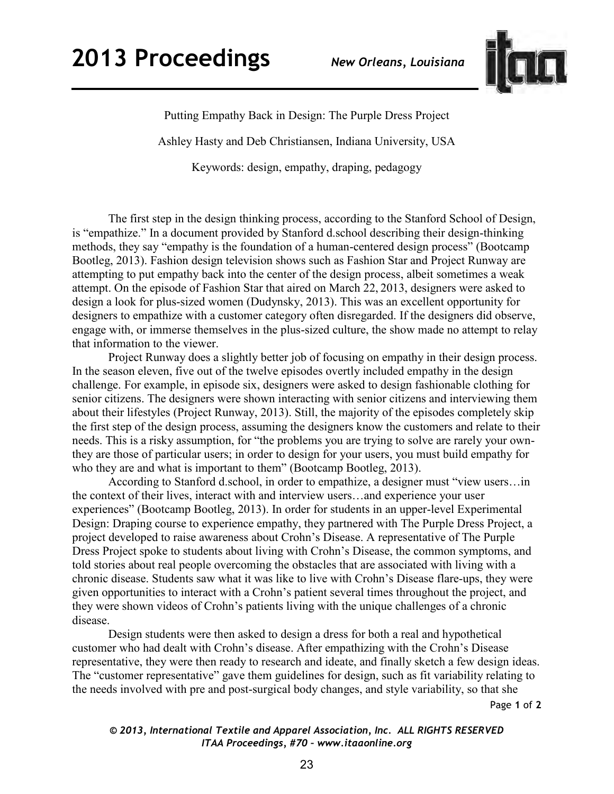

Putting Empathy Back in Design: The Purple Dress Project Ashley Hasty and Deb Christiansen, Indiana University, USA Keywords: design, empathy, draping, pedagogy

 The first step in the design thinking process, according to the Stanford School of Design, is "empathize." In a document provided by Stanford d.school describing their design-thinking methods, they say "empathy is the foundation of a human-centered design process" (Bootcamp Bootleg, 2013). Fashion design television shows such as Fashion Star and Project Runway are attempting to put empathy back into the center of the design process, albeit sometimes a weak attempt. On the episode of Fashion Star that aired on March 22, 2013, designers were asked to design a look for plus-sized women (Dudynsky, 2013). This was an excellent opportunity for designers to empathize with a customer category often disregarded. If the designers did observe, engage with, or immerse themselves in the plus-sized culture, the show made no attempt to relay that information to the viewer.

 Project Runway does a slightly better job of focusing on empathy in their design process. In the season eleven, five out of the twelve episodes overtly included empathy in the design challenge. For example, in episode six, designers were asked to design fashionable clothing for senior citizens. The designers were shown interacting with senior citizens and interviewing them about their lifestyles (Project Runway, 2013). Still, the majority of the episodes completely skip the first step of the design process, assuming the designers know the customers and relate to their needs. This is a risky assumption, for "the problems you are trying to solve are rarely your ownthey are those of particular users; in order to design for your users, you must build empathy for who they are and what is important to them" (Bootcamp Bootleg, 2013).

 According to Stanford d.school, in order to empathize, a designer must "view users…in the context of their lives, interact with and interview users…and experience your user experiences" (Bootcamp Bootleg, 2013). In order for students in an upper-level Experimental Design: Draping course to experience empathy, they partnered with The Purple Dress Project, a project developed to raise awareness about Crohn's Disease. A representative of The Purple Dress Project spoke to students about living with Crohn's Disease, the common symptoms, and told stories about real people overcoming the obstacles that are associated with living with a chronic disease. Students saw what it was like to live with Crohn's Disease flare-ups, they were given opportunities to interact with a Crohn's patient several times throughout the project, and they were shown videos of Crohn's patients living with the unique challenges of a chronic disease.

 Design students were then asked to design a dress for both a real and hypothetical customer who had dealt with Crohn's disease. After empathizing with the Crohn's Disease representative, they were then ready to research and ideate, and finally sketch a few design ideas. The "customer representative" gave them guidelines for design, such as fit variability relating to the needs involved with pre and post-surgical body changes, and style variability, so that she

Page **1** of **2** 

## *© 2013, International Textile and Apparel Association, Inc. ALL RIGHTS RESERVED ITAA Proceedings, #70 – www.itaaonline.org*